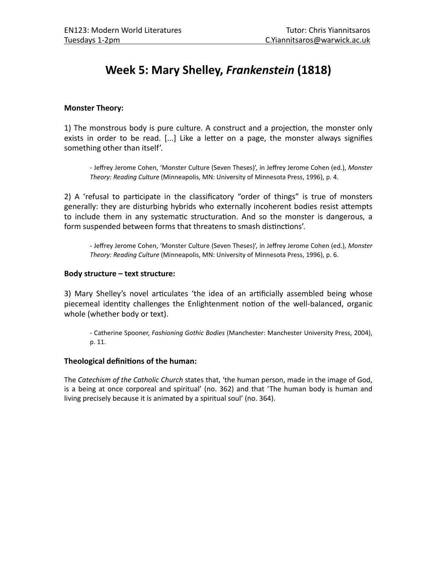# **Week 5: Mary Shelley,** *Frankenstein* **(1818)**

## **Monster Theory:**

1) The monstrous body is pure culture. A construct and a projection, the monster only exists in order to be read.  $[...]$  Like a letter on a page, the monster always signifies something other than itself'.

- Jeffrey Jerome Cohen, 'Monster Culture (Seven Theses)', in Jeffrey Jerome Cohen (ed.), *Monster Theory: Reading Culture* (Minneapolis, MN: University of Minnesota Press, 1996), p. 4.

2) A 'refusal to participate in the classificatory "order of things" is true of monsters generally: they are disturbing hybrids who externally incoherent bodies resist attempts to include them in any systematic structuration. And so the monster is dangerous, a form suspended between forms that threatens to smash distinctions'.

- Jeffrey Jerome Cohen, 'Monster Culture (Seven Theses)', in Jeffrey Jerome Cohen (ed.), Monster Theory: Reading Culture (Minneapolis, MN: University of Minnesota Press, 1996), p. 6.

#### Body structure - text structure:

3) Mary Shelley's novel articulates 'the idea of an artificially assembled being whose piecemeal identity challenges the Enlightenment notion of the well-balanced, organic whole (whether body or text).

- Catherine Spooner, *Fashioning Gothic Bodies* (Manchester: Manchester University Press, 2004), p. 11.

## **Theological definitions of the human:**

The *Catechism of the Catholic Church* states that, 'the human person, made in the image of God, is a being at once corporeal and spiritual' (no. 362) and that 'The human body is human and living precisely because it is animated by a spiritual soul' (no. 364).